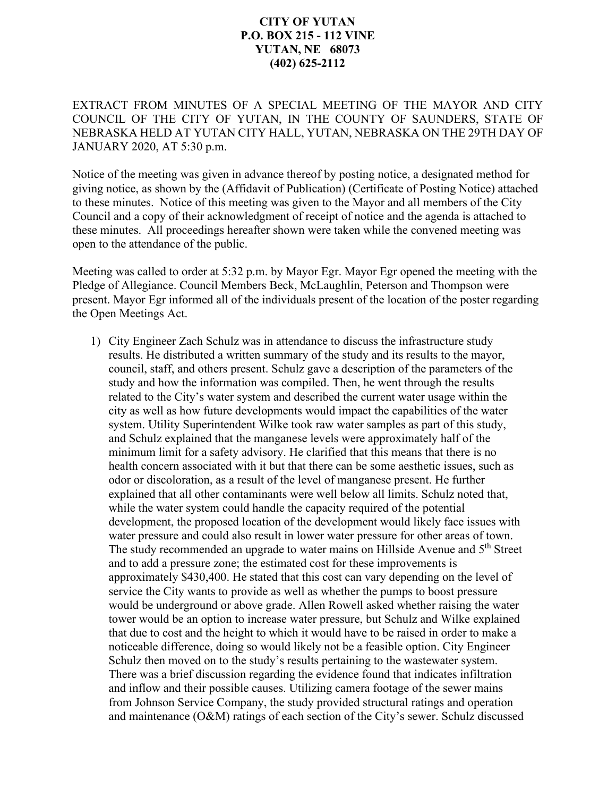## **CITY OF YUTAN P.O. BOX 215 - 112 VINE YUTAN, NE 68073 (402) 625-2112**

EXTRACT FROM MINUTES OF A SPECIAL MEETING OF THE MAYOR AND CITY COUNCIL OF THE CITY OF YUTAN, IN THE COUNTY OF SAUNDERS, STATE OF NEBRASKA HELD AT YUTAN CITY HALL, YUTAN, NEBRASKA ON THE 29TH DAY OF JANUARY 2020, AT 5:30 p.m.

Notice of the meeting was given in advance thereof by posting notice, a designated method for giving notice, as shown by the (Affidavit of Publication) (Certificate of Posting Notice) attached to these minutes. Notice of this meeting was given to the Mayor and all members of the City Council and a copy of their acknowledgment of receipt of notice and the agenda is attached to these minutes. All proceedings hereafter shown were taken while the convened meeting was open to the attendance of the public.

Meeting was called to order at 5:32 p.m. by Mayor Egr. Mayor Egr opened the meeting with the Pledge of Allegiance. Council Members Beck, McLaughlin, Peterson and Thompson were present. Mayor Egr informed all of the individuals present of the location of the poster regarding the Open Meetings Act.

1) City Engineer Zach Schulz was in attendance to discuss the infrastructure study results. He distributed a written summary of the study and its results to the mayor, council, staff, and others present. Schulz gave a description of the parameters of the study and how the information was compiled. Then, he went through the results related to the City's water system and described the current water usage within the city as well as how future developments would impact the capabilities of the water system. Utility Superintendent Wilke took raw water samples as part of this study, and Schulz explained that the manganese levels were approximately half of the minimum limit for a safety advisory. He clarified that this means that there is no health concern associated with it but that there can be some aesthetic issues, such as odor or discoloration, as a result of the level of manganese present. He further explained that all other contaminants were well below all limits. Schulz noted that, while the water system could handle the capacity required of the potential development, the proposed location of the development would likely face issues with water pressure and could also result in lower water pressure for other areas of town. The study recommended an upgrade to water mains on Hillside Avenue and 5<sup>th</sup> Street and to add a pressure zone; the estimated cost for these improvements is approximately \$430,400. He stated that this cost can vary depending on the level of service the City wants to provide as well as whether the pumps to boost pressure would be underground or above grade. Allen Rowell asked whether raising the water tower would be an option to increase water pressure, but Schulz and Wilke explained that due to cost and the height to which it would have to be raised in order to make a noticeable difference, doing so would likely not be a feasible option. City Engineer Schulz then moved on to the study's results pertaining to the wastewater system. There was a brief discussion regarding the evidence found that indicates infiltration and inflow and their possible causes. Utilizing camera footage of the sewer mains from Johnson Service Company, the study provided structural ratings and operation and maintenance (O&M) ratings of each section of the City's sewer. Schulz discussed